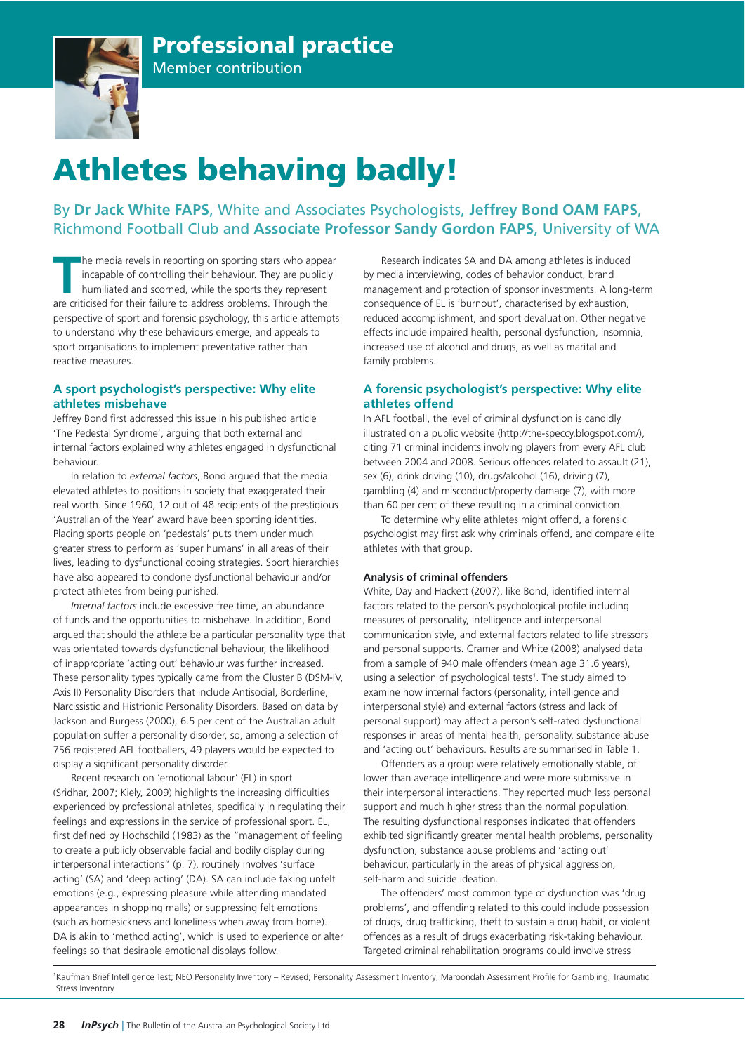# Professional practice



## Member contribution

# Athletes behaving badly!

### By **Dr Jack White FAPS**, White and Associates Psychologists, **Jeffrey Bond OAM FAPS**, Richmond Football Club and **Associate Professor Sandy Gordon FAPS**, University of WA

The media revels in reporting on sporting stars who appear incapable of controlling their behaviour. They are publicly humiliated and scorned, while the sports they represent are criticised for their failure to address pro he media revels in reporting on sporting stars who appear incapable of controlling their behaviour. They are publicly humiliated and scorned, while the sports they represent perspective of sport and forensic psychology, this article attempts to understand why these behaviours emerge, and appeals to sport organisations to implement preventative rather than reactive measures.

#### **A sport psychologist's perspective: Why elite athletes misbehave**

Jeffrey Bond first addressed this issue in his published article 'The Pedestal Syndrome', arguing that both external and internal factors explained why athletes engaged in dysfunctional behaviour.

In relation to *external factors*, Bond argued that the media elevated athletes to positions in society that exaggerated their real worth. Since 1960, 12 out of 48 recipients of the prestigious 'Australian of the Year' award have been sporting identities. Placing sports people on 'pedestals' puts them under much greater stress to perform as 'super humans' in all areas of their lives, leading to dysfunctional coping strategies. Sport hierarchies have also appeared to condone dysfunctional behaviour and/or protect athletes from being punished.

*Internal factors* include excessive free time, an abundance of funds and the opportunities to misbehave. In addition, Bond argued that should the athlete be a particular personality type that was orientated towards dysfunctional behaviour, the likelihood of inappropriate 'acting out' behaviour was further increased. These personality types typically came from the Cluster B (DSM-IV, Axis II) Personality Disorders that include Antisocial, Borderline, Narcissistic and Histrionic Personality Disorders. Based on data by Jackson and Burgess (2000), 6.5 per cent of the Australian adult population suffer a personality disorder, so, among a selection of 756 registered AFL footballers, 49 players would be expected to display a significant personality disorder.

Recent research on 'emotional labour' (EL) in sport (Sridhar, 2007; Kiely, 2009) highlights the increasing difficulties experienced by professional athletes, specifically in regulating their feelings and expressions in the service of professional sport. EL, first defined by Hochschild (1983) as the "management of feeling to create a publicly observable facial and bodily display during interpersonal interactions" (p. 7), routinely involves 'surface acting' (SA) and 'deep acting' (DA). SA can include faking unfelt emotions (e.g., expressing pleasure while attending mandated appearances in shopping malls) or suppressing felt emotions (such as homesickness and loneliness when away from home). DA is akin to 'method acting', which is used to experience or alter feelings so that desirable emotional displays follow.

Research indicates SA and DA among athletes is induced by media interviewing, codes of behavior conduct, brand management and protection of sponsor investments. A long-term consequence of EL is 'burnout', characterised by exhaustion, reduced accomplishment, and sport devaluation. Other negative effects include impaired health, personal dysfunction, insomnia, increased use of alcohol and drugs, as well as marital and family problems.

#### **A forensic psychologist's perspective: Why elite athletes offend**

In AFL football, the level of criminal dysfunction is candidly illustrated on a public website (http://the-speccy.blogspot.com/), citing 71 criminal incidents involving players from every AFL club between 2004 and 2008. Serious offences related to assault (21), sex (6), drink driving (10), drugs/alcohol (16), driving (7), gambling (4) and misconduct/property damage (7), with more than 60 per cent of these resulting in a criminal conviction.

To determine why elite athletes might offend, a forensic psychologist may first ask why criminals offend, and compare elite athletes with that group.

#### **Analysis of criminal offenders**

White, Day and Hackett (2007), like Bond, identified internal factors related to the person's psychological profile including measures of personality, intelligence and interpersonal communication style, and external factors related to life stressors and personal supports. Cramer and White (2008) analysed data from a sample of 940 male offenders (mean age 31.6 years), using a selection of psychological tests<sup>1</sup>. The study aimed to examine how internal factors (personality, intelligence and interpersonal style) and external factors (stress and lack of personal support) may affect a person's self-rated dysfunctional responses in areas of mental health, personality, substance abuse and 'acting out' behaviours. Results are summarised in Table 1.

Offenders as a group were relatively emotionally stable, of lower than average intelligence and were more submissive in their interpersonal interactions. They reported much less personal support and much higher stress than the normal population. The resulting dysfunctional responses indicated that offenders exhibited significantly greater mental health problems, personality dysfunction, substance abuse problems and 'acting out' behaviour, particularly in the areas of physical aggression, self-harm and suicide ideation.

The offenders' most common type of dysfunction was 'drug problems', and offending related to this could include possession of drugs, drug trafficking, theft to sustain a drug habit, or violent offences as a result of drugs exacerbating risk-taking behaviour. Targeted criminal rehabilitation programs could involve stress

1 Kaufman Brief Intelligence Test; NEO Personality Inventory – Revised; Personality Assessment Inventory; Maroondah Assessment Profile for Gambling; Traumatic Stress Inventory